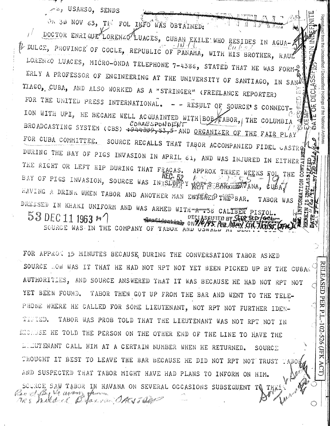USARSO, SENDS

OR 30 NOV 63, THE FOL INFO WAS OBTAINED: DOCTOR ENRIQUE LORENZO LUACES, CUBAN EXILE WHO RESIDES IN AGUA-2 i L DULCE, PROVINCE OF COCLE, REPUBLIC OF PANAMA, WITH HIS BROTHER, RAUL LORENZO LUACES, MICRO-ONDA TELEPHONE 7-4386, STATED THAT HE WAS FORM-ERLY A PROFESSOR OF ENGINEERING AT THE UNIVERSITY OF SANTIAGO, IN SAN<sup>D</sup> TIAGO, CUBA, AND ALSO WORKED AS A "STRINGER" (FREELANCE REPORTER) FOR THE UNITED PRESS INTERNATIONAL.  $-$  - RESULT OF SOURCE'S CONNECT-ION WITH UPI, HE BECAME WELL ACQUAINTED WITH BOB KABOR, THE COLUMBIA BROADCASTING SYSTEM (CBS) +544309, 53, 5-AND ORGANIZER OF THE FAIR PLAY CORRESPONDENT FOR CUBA COMMITTEE. SOURCE RECALLS THAT TABOR ACCOMPANIED FIDEL CASTRQ DURING THE BAY OF PIGS INVASION IN APRIL 61, AND WAS INJURED IN EITHER THE RIGHT OR LEFT HIP DURING THAT FRACAS. APPROX THREE WEEKS FOL THE BAY OF PIGS INVASION, SOURCE WAS IN SLOP Y ROFIS BORDEDAVANA, HAVING A DRINK WHEN TABOR AND ANOTHER MAN ENTERED THE BAR. TABOR WAS DRESSED IN KHAKI UNIFORM AND WAS ARMED WITH 738 CALIBER PISTOL. 53 DEC 11 1963 \* sidentials an 7/6/95 Pea. Many Line SOURGE WAS IN THE COMPANY OF TABOR AND USWALL"

Holdings of the National

**ELEASED** 

**PER** 

ά

102-526

**AHI** 

ACT)

FOR APPROX 15 MINUTES BECAUSE DURING THE CONVERSATION TABOR ASKED SOURCE ROW WAS IT THAT HE HAD NOT RPT NOT YET BEEN PICKED UP BY THE CUBAN AUTHORITIES, AND SOURCE ANSWERED THAT IT WAS BECAUSE HE HAD NOT RPT NOT YET BEEN FOUND. TABOR THEN GOT UP FROM THE BAR AND WENT TO THE TELE-PHONE WHERE HE CALLED FOR SOME LIEUTENANT, NOT RPT NOT FURTHER IDEN-TIMED. TABOR WAS PROB TOLD THAT THE LIEUTENANT WAS NOT RPT NOT IN ENCLUSE HE TOLD THE PERSON ON THE OTHER END OF THE LINE TO HAVE THE LLLUTENANT CALL HIM AT A CERTAIN NUMBER WHEN HE RETURNED.  $SOWRC \Sigma$ THOUGHT IT BEST TO LEAVE THE BAR BECAUSE HE DID NOT RPT NOT TRUST TABO AND SUSPECTED THAT TABOR MIGHT HAVE HAD PLANS TO INFORM ON HIM. SOURCE SAW TABOR IN HAVANA ON SEVERAL OCCASIONS SUBSEQUENT TO THRE Revel Cay Me avenue Maria and you have delle nos mikarel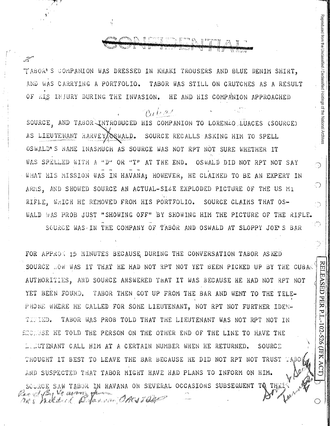TABOR'S COMPANION WAS DRESSED IN KHAKI TROUSERS AND BLUE DENIM SHIRT. AND WAS CARRYING A PORTFOLIO. TABOR WAS STILL ON CRUTCHES AS A RESULT OF RIS INJURY DURING THE INVASION. HE AND HIS COMPANION APPROACHED

 $\alpha$  frat

ستقيته

Reproduced from the Unclassified / Declassified Holdings of the National Archives

ා

 $\bigcirc$ 

t in

RELEASED PER P.L.-102-526 (JFK ACT)

SOURCE AND TABOR INTRODUCED HIS COMPANION TO LORENAO LUACES (SOURCE) SOURCE RECALLS ASKING HIM TO SPELL AS LIEUTENANT HARVEYAOSWALD. OSWALD'S NAME INASMUCH AS SOURCE WAS NOT RPT NOT SURE WHETHER IT WAS SPELLED WITH A "D" OR "T" AT THE END. OSWALD DID NOT RPT NOT SAY WHAT HIS MISSION WAS IN HAVANA: HOWEVER, HE CLAIMED TO BE AN EXPERT IN ARMS. AND SHOWED SOURCE AN ACTUAL-SIZE EXPLODED PICTURE OF THE US M1 RIFLE, WHICH HE REMOVED FROM HIS PORTFOLIO. SOURCE CLAIMS THAT OS-WALD WAS PROB JUST "SHOWING OFF" BY SHOWING HIM THE PICTURE OF THE RIFLE. SOURCE WAS IN THE COMPANY OF TABOR AND OSWALD AT SLOPPY JOF S BAR

FOR APPROX 15 MINUTES BECAUSE DURING THE CONVERSATION TABOR ASKED SOURCE MOW WAS IT THAT HE HAD NOT RPT NOT YET BEEN PICKED UP BY THE CUBAN AUTHORITIES, AND SOURCE ANSWERED THAT IT WAS BECAUSE HE HAD NOT RPT NOT YET BEEN FOUND. TABOR THEN GOT UP FROM THE BAR AND WENT TO THE TELE-PHONE WHERE HE CALLED FOR SOME LIEUTENANT, NOT RPT NOT FURTHER IDEN-TITIED. TABOR WAS PROB TOLD THAT THE LIEUTENANT WAS NOT RPT NOT IN ENCLUSE HE TOLD THE PERSON ON THE OTHER END OF THE LINE TO HAVE THE LULUTENANT CALL HIM AT A CERTAIN NUMBER WHEN HE RETURNED. SOURCE THOUGHT IT BEST TO LEAVE THE BAR BECAUSE HE DID NOT RPT NOT TRUST TABO AND SUSPECTED THAT TABOR MIGHT HAVE HAD PLANS TO INFORM ON HIM. SOURCE SAW TABOR IN HAVANA ON SEVERAL OCCASIONS SUBSEQUENT TO THESE ras hillderd pt dans en ORS i ble